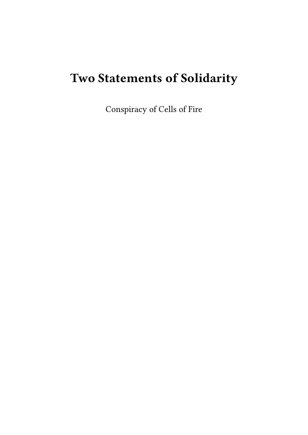# **Two Statements of Solidarity**

Conspiracy of Cells of Fire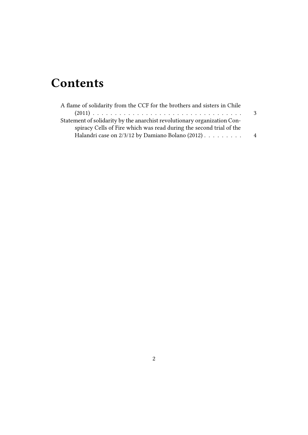## **Contents**

| A flame of solidarity from the CCF for the brothers and sisters in Chile |    |
|--------------------------------------------------------------------------|----|
|                                                                          | -3 |
| Statement of solidarity by the anarchist revolutionary organization Con- |    |
| spiracy Cells of Fire which was read during the second trial of the      |    |
| Halandri case on 2/3/12 by Damiano Bolano (2012)                         | 4  |
|                                                                          |    |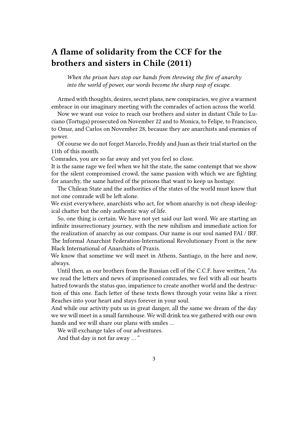### <span id="page-2-0"></span>**A flame of solidarity from the CCF for the brothers and sisters in Chile (2011)**

*When the prison bars stop our hands from throwing the fire of anarchy into the world of power, our words become the sharp rasp of escape.*

Armed with thoughts, desires, secret plans, new conspiracies, we give a warmest embrace in our imaginary meeting with the comrades of action across the world.

Now we want our voice to reach our brothers and sister in distant Chile to Luciano (Tortuga) prosecuted on November 22 and to Monica, to Felipe, to Francisco, to Omar, and Carlos on November 28, because they are anarchists and enemies of power.

Of course we do not forget Marcelo, Freddy and Juan as their trial started on the 11th of this month.

Comrades, you are so far away and yet you feel so close.

It is the same rage we feel when we hit the state, the same contempt that we show for the silent compromised crowd, the same passion with which we are fighting for anarchy, the same hatred of the prisons that want to keep us hostage.

The Chilean State and the authorities of the states of the world must know that not one comrade will be left alone.

We exist everywhere, anarchists who act, for whom anarchy is not cheap ideological chatter but the only authentic way of life.

So, one thing is certain. We have not yet said our last word. We are starting an infinite insurrectionary journey, with the new nihilism and immediate action for the realization of anarchy as our compass. Our name is our soul named FAI / IRF. The Informal Anarchist Federation-International Revolutionary Front is the new Black International of Anarchists of Praxis.

We know that sometime we will meet in Athens, Santiago, in the here and now, always.

Until then, as our brothers from the Russian cell of the C.C.F. have written, "As we read the letters and news of imprisoned comrades, we feel with all our hearts hatred towards the status quo, impatience to create another world and the destruction of this one. Each letter of these texts flows through your veins like a river. Reaches into your heart and stays forever in your soul.

And while our activity puts us in great danger, all the same we dream of the day we we will meet in a small farmhouse. We will drink tea we gathered with our own hands and we will share our plans with smiles …

We will exchange tales of our adventures.

And that day is not far away … "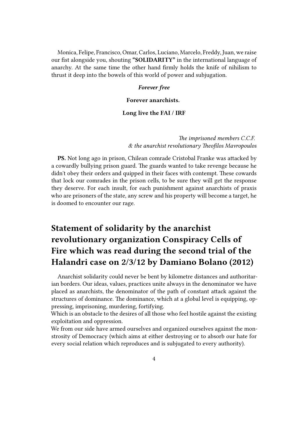Monica, Felipe, Francisco, Omar, Carlos, Luciano, Marcelo, Freddy, Juan, we raise our fist alongside you, shouting **"SOLIDARITY"** in the international language of anarchy. At the same time the other hand firmly holds the knife of nihilism to thrust it deep into the bowels of this world of power and subjugation.

#### *Forever free*

**Forever anarchists.**

#### **Long live the FAI / IRF**

*The imprisoned members C.C.F. & the anarchist revolutionary Theofilos Mavropoulos*

**PS.** Not long ago in prison, Chilean comrade Cristobal Franke was attacked by a cowardly bullying prison guard. The guards wanted to take revenge because he didn't obey their orders and quipped in their faces with contempt. These cowards that lock our comrades in the prison cells, to be sure they will get the response they deserve. For each insult, for each punishment against anarchists of praxis who are prisoners of the state, any screw and his property will become a target, he is doomed to encounter our rage.

## **Statement of solidarity by the anarchist revolutionary organization Conspiracy Cells of Fire which was read during the second trial of the Halandri case on 2/3/12 by Damiano Bolano (2012)**

Anarchist solidarity could never be bent by kilometre distances and authoritarian borders. Our ideas, values, practices unite always in the denominator we have placed as anarchists, the denominator of the path of constant attack against the structures of dominance. The dominance, which at a global level is equipping, oppressing, imprisoning, murdering, fortifying.

Which is an obstacle to the desires of all those who feel hostile against the existing exploitation and oppression.

We from our side have armed ourselves and organized ourselves against the monstrosity of Democracy (which aims at either destroying or to absorb our hate for every social relation which reproduces and is subjugated to every authority).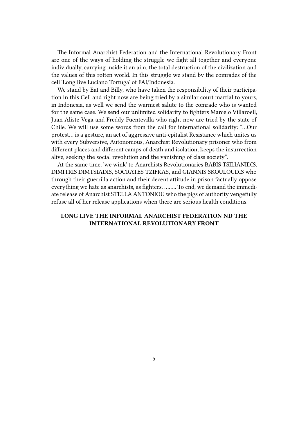The Informal Anarchist Federation and the International Revolutionary Front are one of the ways of holding the struggle we fight all together and everyone individually, carrying inside it an aim, the total destruction of the civilization and the values of this rotten world. In this struggle we stand by the comrades of the cell 'Long live Luciano Tortuga' of FAI/Indonesia.

We stand by Eat and Billy, who have taken the responsibility of their participation in this Cell and right now are being tried by a similar court martial to yours, in Indonesia, as well we send the warmest salute to the comrade who is wanted for the same case. We send our unlimited solidarity to fighters Marcelo Villaroell, Juan Aliste Vega and Freddy Fuentevilla who right now are tried by the state of Chile. We will use some words from the call for international solidarity: "…Our protest… is a gesture, an act of aggressive anti-cpitalist Resistance which unites us with every Subversive, Autonomous, Anarchist Revolutionary prisoner who from different places and different camps of death and isolation, keeps the insurrection alive, seeking the social revolution and the vanishing of class society".

At the same time, 'we wink' to Anarchists Revolutionaries BABIS TSILIANIDIS, DIMITRIS DIMTSIADIS, SOCRATES TZIFKAS, and GIANNIS SKOULOUDIS who through their guerrilla action and their decent attitude in prison factually oppose everything we hate as anarchists, as fighters. …….. To end, we demand the immediate release of Anarchist STELLA ANTONIOU who the pigs of authority vengefully refuse all of her release applications when there are serious health conditions.

#### **LONG LIVE THE INFORMAL ANARCHIST FEDERATION ND THE INTERNATIONAL REVOLUTIONARY FRONT**